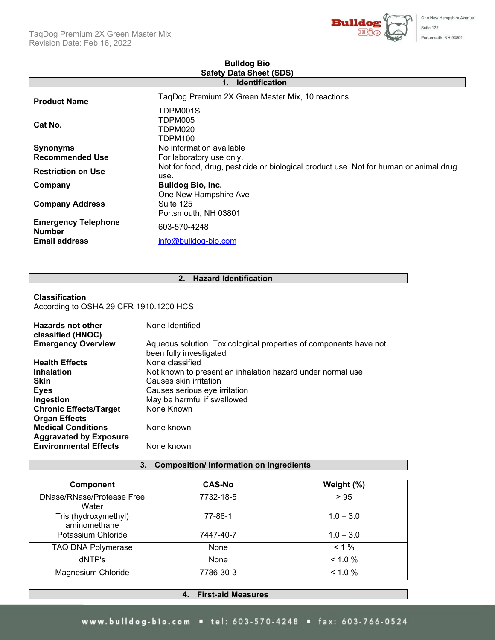

| One ivew Hampsite Avenu |
|-------------------------|
| Suite 125               |
| Portsmouth, NH 03801    |

| $\frac{1}{2}$ $\frac{1}{2}$ $\frac{1}{2}$<br><b>Identification</b><br>1. |                                                                                               |  |  |
|--------------------------------------------------------------------------|-----------------------------------------------------------------------------------------------|--|--|
| <b>Product Name</b>                                                      | TaqDog Premium 2X Green Master Mix, 10 reactions                                              |  |  |
| Cat No.                                                                  | TDPM001S<br>TDPM005<br>TDPM020<br>TDPM100                                                     |  |  |
| <b>Synonyms</b>                                                          | No information available                                                                      |  |  |
| <b>Recommended Use</b>                                                   | For laboratory use only.                                                                      |  |  |
| <b>Restriction on Use</b>                                                | Not for food, drug, pesticide or biological product use. Not for human or animal drug<br>use. |  |  |
| Company                                                                  | <b>Bulldog Bio, Inc.</b>                                                                      |  |  |
| <b>Company Address</b>                                                   | One New Hampshire Ave<br>Suite 125<br>Portsmouth, NH 03801                                    |  |  |
| <b>Emergency Telephone</b><br><b>Number</b>                              | 603-570-4248                                                                                  |  |  |
| <b>Email address</b>                                                     | info@bulldog-bio.com                                                                          |  |  |

# **Bulldog Bio Safety Data Sheet (SDS)**

# **2. Hazard Identification**

## **Classification**

According to OSHA 29 CFR 1910.1200 HCS

| Hazards not other             | None Identified                                                                              |
|-------------------------------|----------------------------------------------------------------------------------------------|
| classified (HNOC)             |                                                                                              |
| <b>Emergency Overview</b>     | Aqueous solution. Toxicological properties of components have not<br>been fully investigated |
| <b>Health Effects</b>         | None classified                                                                              |
| <b>Inhalation</b>             | Not known to present an inhalation hazard under normal use                                   |
| <b>Skin</b>                   | Causes skin irritation                                                                       |
| <b>Eyes</b>                   | Causes serious eye irritation                                                                |
| Ingestion                     | May be harmful if swallowed                                                                  |
| <b>Chronic Effects/Target</b> | None Known                                                                                   |
| <b>Organ Effects</b>          |                                                                                              |
| <b>Medical Conditions</b>     | None known                                                                                   |
| <b>Aggravated by Exposure</b> |                                                                                              |
| <b>Environmental Effects</b>  | None known                                                                                   |

## **3. Composition/ Information on Ingredients**

| <b>Component</b>                     | <b>CAS-No</b> | Weight (%)  |
|--------------------------------------|---------------|-------------|
|                                      |               |             |
| DNase/RNase/Protease Free<br>Water   | 7732-18-5     | > 95        |
| Tris (hydroxymethyl)<br>aminomethane | 77-86-1       | $1.0 - 3.0$ |
| Potassium Chloride                   | 7447-40-7     | $1.0 - 3.0$ |
| <b>TAQ DNA Polymerase</b>            | None          | $< 1 \%$    |
| dNTP's                               | None          | $< 1.0\%$   |
| Magnesium Chloride                   | 7786-30-3     | $< 1.0\%$   |

## **4. First-aid Measures**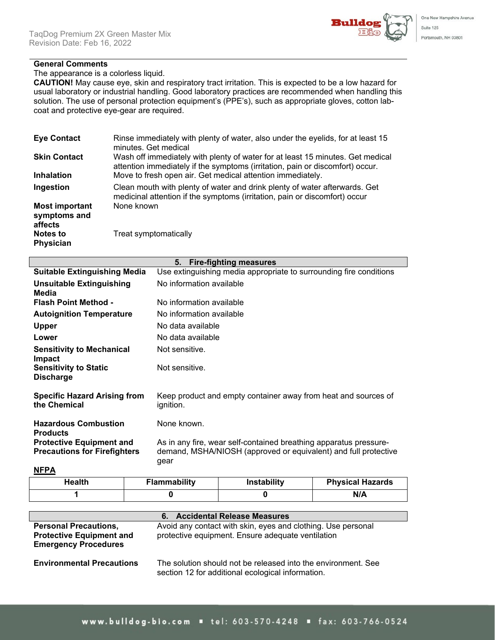

# **General Comments**

The appearance is a colorless liquid.

**CAUTION!** May cause eye, skin and respiratory tract irritation. This is expected to be a low hazard for usual laboratory or industrial handling. Good laboratory practices are recommended when handling this solution. The use of personal protection equipment's (PPE's), such as appropriate gloves, cotton labcoat and protective eye-gear are required.

| <b>Eye Contact</b>                               | Rinse immediately with plenty of water, also under the eyelids, for at least 15<br>minutes. Get medical                                                         |
|--------------------------------------------------|-----------------------------------------------------------------------------------------------------------------------------------------------------------------|
| <b>Skin Contact</b>                              | Wash off immediately with plenty of water for at least 15 minutes. Get medical<br>attention immediately if the symptoms (irritation, pain or discomfort) occur. |
| <b>Inhalation</b>                                | Move to fresh open air. Get medical attention immediately.                                                                                                      |
| Ingestion                                        | Clean mouth with plenty of water and drink plenty of water afterwards. Get<br>medicinal attention if the symptoms (irritation, pain or discomfort) occur        |
| <b>Most important</b><br>symptoms and<br>affects | None known                                                                                                                                                      |
| <b>Notes to</b><br><b>Physician</b>              | Treat symptomatically                                                                                                                                           |

| 5. Fire-fighting measures                                              |                                                                                                                                              |  |  |
|------------------------------------------------------------------------|----------------------------------------------------------------------------------------------------------------------------------------------|--|--|
| <b>Suitable Extinguishing Media</b>                                    | Use extinguishing media appropriate to surrounding fire conditions                                                                           |  |  |
| Unsuitable Extinguishing<br>Media                                      | No information available                                                                                                                     |  |  |
| <b>Flash Point Method -</b>                                            | No information available                                                                                                                     |  |  |
| <b>Autoignition Temperature</b>                                        | No information available                                                                                                                     |  |  |
| <b>Upper</b>                                                           | No data available                                                                                                                            |  |  |
| Lower                                                                  | No data available                                                                                                                            |  |  |
| <b>Sensitivity to Mechanical</b><br><b>Impact</b>                      | Not sensitive.                                                                                                                               |  |  |
| <b>Sensitivity to Static</b><br><b>Discharge</b>                       | Not sensitive.                                                                                                                               |  |  |
| <b>Specific Hazard Arising from</b><br>the Chemical                    | Keep product and empty container away from heat and sources of<br>ignition.                                                                  |  |  |
| <b>Hazardous Combustion</b><br><b>Products</b>                         | None known.                                                                                                                                  |  |  |
| <b>Protective Equipment and</b><br><b>Precautions for Firefighters</b> | As in any fire, wear self-contained breathing apparatus pressure-<br>demand, MSHA/NIOSH (approved or equivalent) and full protective<br>gear |  |  |

**NFPA**

| Health | Flammability | <b>Instability</b> | <b>Physical Hazards</b> |
|--------|--------------|--------------------|-------------------------|
|        |              |                    | N/A                     |

| 6. Accidental Release Measures                                                                 |                                                                                                                    |  |  |
|------------------------------------------------------------------------------------------------|--------------------------------------------------------------------------------------------------------------------|--|--|
| <b>Personal Precautions,</b><br><b>Protective Equipment and</b><br><b>Emergency Procedures</b> | Avoid any contact with skin, eyes and clothing. Use personal<br>protective equipment. Ensure adequate ventilation  |  |  |
| <b>Environmental Precautions</b>                                                               | The solution should not be released into the environment. See<br>section 12 for additional ecological information. |  |  |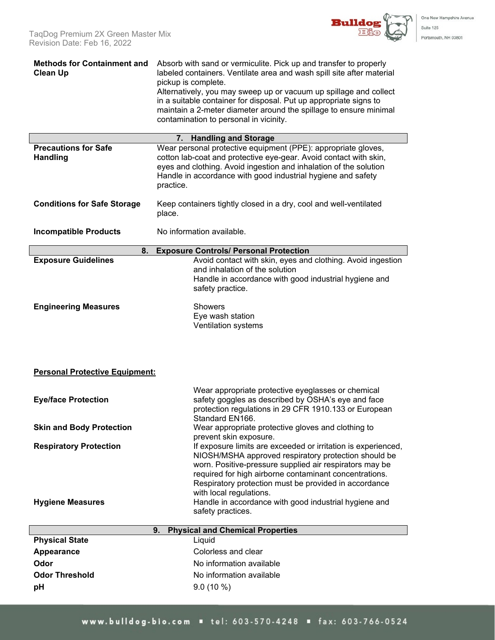One New Hampshire Avenue

Suite 125 Portsmouth, NH 03801

| <b>Methods for Containment and</b><br><b>Clean Up</b> | Absorb with sand or vermiculite. Pick up and transfer to properly<br>labeled containers. Ventilate area and wash spill site after material<br>pickup is complete.<br>Alternatively, you may sweep up or vacuum up spillage and collect<br>in a suitable container for disposal. Put up appropriate signs to<br>maintain a 2-meter diameter around the spillage to ensure minimal<br>contamination to personal in vicinity. |  |  |
|-------------------------------------------------------|----------------------------------------------------------------------------------------------------------------------------------------------------------------------------------------------------------------------------------------------------------------------------------------------------------------------------------------------------------------------------------------------------------------------------|--|--|
|                                                       | 7.<br><b>Handling and Storage</b>                                                                                                                                                                                                                                                                                                                                                                                          |  |  |
| <b>Precautions for Safe</b><br><b>Handling</b>        | Wear personal protective equipment (PPE): appropriate gloves,<br>cotton lab-coat and protective eye-gear. Avoid contact with skin,<br>eyes and clothing. Avoid ingestion and inhalation of the solution<br>Handle in accordance with good industrial hygiene and safety<br>practice.                                                                                                                                       |  |  |
| <b>Conditions for Safe Storage</b>                    | Keep containers tightly closed in a dry, cool and well-ventilated<br>place.                                                                                                                                                                                                                                                                                                                                                |  |  |
| <b>Incompatible Products</b>                          | No information available.                                                                                                                                                                                                                                                                                                                                                                                                  |  |  |
| 8.                                                    | <b>Exposure Controls/ Personal Protection</b>                                                                                                                                                                                                                                                                                                                                                                              |  |  |
| <b>Exposure Guidelines</b>                            | Avoid contact with skin, eyes and clothing. Avoid ingestion<br>and inhalation of the solution<br>Handle in accordance with good industrial hygiene and<br>safety practice.                                                                                                                                                                                                                                                 |  |  |
| <b>Engineering Measures</b>                           | <b>Showers</b><br>Eye wash station<br>Ventilation systems                                                                                                                                                                                                                                                                                                                                                                  |  |  |
| <b>Personal Protective Equipment:</b>                 |                                                                                                                                                                                                                                                                                                                                                                                                                            |  |  |
| <b>Eye/face Protection</b>                            | Wear appropriate protective eyeglasses or chemical<br>safety goggles as described by OSHA's eye and face<br>protection regulations in 29 CFR 1910.133 or European<br>Standard EN166.                                                                                                                                                                                                                                       |  |  |
| <b>Skin and Body Protection</b>                       | Wear appropriate protective gloves and clothing to<br>prevent skin exposure.                                                                                                                                                                                                                                                                                                                                               |  |  |
| <b>Respiratory Protection</b>                         | If exposure limits are exceeded or irritation is experienced,<br>NIOSH/MSHA approved respiratory protection should be<br>worn. Positive-pressure supplied air respirators may be<br>required for high airborne contaminant concentrations.<br>Respiratory protection must be provided in accordance<br>with local regulations.<br>Handle in accordance with good industrial hygiene and                                    |  |  |
| <b>Hygiene Measures</b>                               | safety practices.                                                                                                                                                                                                                                                                                                                                                                                                          |  |  |
|                                                       | <b>Physical and Chemical Properties</b><br>9.                                                                                                                                                                                                                                                                                                                                                                              |  |  |
| <b>Physical State</b>                                 | Liquid                                                                                                                                                                                                                                                                                                                                                                                                                     |  |  |
| Appearance                                            | Colorless and clear                                                                                                                                                                                                                                                                                                                                                                                                        |  |  |
| Odor                                                  | No information available                                                                                                                                                                                                                                                                                                                                                                                                   |  |  |
| <b>Odor Threshold</b>                                 | No information available                                                                                                                                                                                                                                                                                                                                                                                                   |  |  |
| pH                                                    | $9.0(10\%)$                                                                                                                                                                                                                                                                                                                                                                                                                |  |  |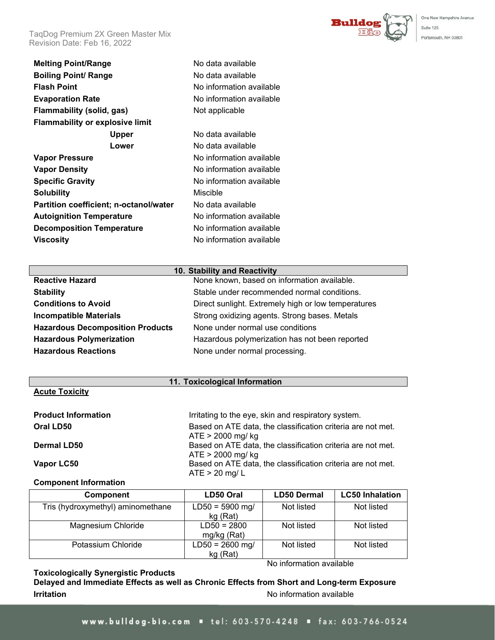TaqDog Premium 2X Green Master Mix Revision Date: Feb 16, 2022



#### **10. Stability and Reactivity**

| <b>Reactive Hazard</b>                  | None known, based on information available.         |
|-----------------------------------------|-----------------------------------------------------|
| <b>Stability</b>                        | Stable under recommended normal conditions.         |
| <b>Conditions to Avoid</b>              | Direct sunlight. Extremely high or low temperatures |
| <b>Incompatible Materials</b>           | Strong oxidizing agents. Strong bases. Metals       |
| <b>Hazardous Decomposition Products</b> | None under normal use conditions                    |
| <b>Hazardous Polymerization</b>         | Hazardous polymerization has not been reported      |
| <b>Hazardous Reactions</b>              | None under normal processing.                       |
|                                         |                                                     |

#### **11. Toxicological Information**

## **Acute Toxicity**

| <b>Product Information</b> | Irritating to the eye, skin and respiratory system.         |
|----------------------------|-------------------------------------------------------------|
| Oral LD50                  | Based on ATE data, the classification criteria are not met. |
|                            | $ATE > 2000$ mg/ kg                                         |
| <b>Dermal LD50</b>         | Based on ATE data, the classification criteria are not met. |
|                            | $ATE > 2000$ mg/ kg                                         |
| Vapor LC50                 | Based on ATE data, the classification criteria are not met. |
|                            | $ATE > 20$ mg/ L                                            |

#### **Component Information**

| Component                         | LD50 Oral                     | <b>LD50 Dermal</b> | <b>LC50 Inhalation</b> |
|-----------------------------------|-------------------------------|--------------------|------------------------|
| Tris (hydroxymethyl) aminomethane | $LD50 = 5900$ mg/<br>kg (Rat) | Not listed         | Not listed             |
| Magnesium Chloride                | $LD50 = 2800$<br>mg/kg (Rat)  | Not listed         | Not listed             |
| Potassium Chloride                | $LD50 = 2600$ mg/<br>kg (Rat) | Not listed         | Not listed             |

## **Toxicologically Synergistic Products**

No information available

**Delayed and Immediate Effects as well as Chronic Effects from Short and Long-term Exposure Irritation Internation International International International International International International International International International International International International International Internationa** 

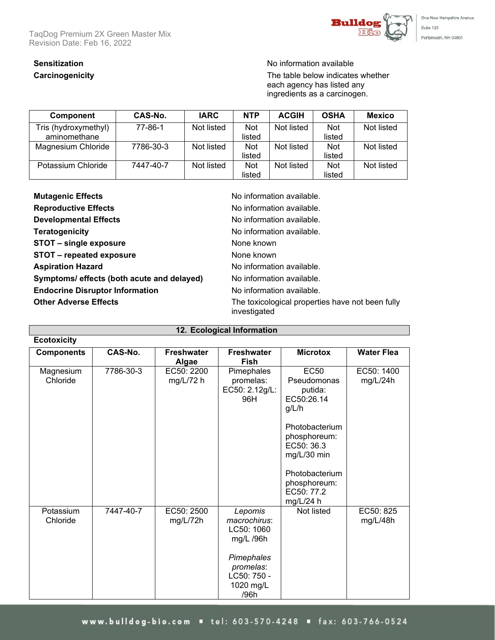TaqDog Premium 2X Green Master Mix Revision Date: Feb 16, 2022



One New Hampshire Avenue Suite 125 Portsmouth, NH 03801

# **Sensitization** No information available

**Carcinogenicity Carcinogenicity Carcinogenicity The table below indicates whether** each agency has listed any ingredients as a carcinogen.

| Component            | CAS-No.   | <b>IARC</b> | <b>NTP</b> | <b>ACGIH</b> | <b>OSHA</b> | <b>Mexico</b> |
|----------------------|-----------|-------------|------------|--------------|-------------|---------------|
| Tris (hydroxymethyl) | 77-86-1   | Not listed  | <b>Not</b> | Not listed   | <b>Not</b>  | Not listed    |
| aminomethane         |           |             | listed     |              | listed      |               |
| Magnesium Chloride   | 7786-30-3 | Not listed  | <b>Not</b> | Not listed   | <b>Not</b>  | Not listed    |
|                      |           |             | listed     |              | listed      |               |
| Potassium Chloride   | 7447-40-7 | Not listed  | <b>Not</b> | Not listed   | <b>Not</b>  | Not listed    |
|                      |           |             | listed     |              | listed      |               |

| <b>Mutagenic Effects</b>                   | No information available.                                        |
|--------------------------------------------|------------------------------------------------------------------|
| <b>Reproductive Effects</b>                | No information available.                                        |
| <b>Developmental Effects</b>               | No information available.                                        |
| <b>Teratogenicity</b>                      | No information available.                                        |
| STOT - single exposure                     | None known                                                       |
| STOT - repeated exposure                   | None known                                                       |
| <b>Aspiration Hazard</b>                   | No information available.                                        |
| Symptoms/ effects (both acute and delayed) | No information available.                                        |
| <b>Endocrine Disruptor Information</b>     | No information available.                                        |
| <b>Other Adverse Effects</b>               | The toxicological properties have not been fully<br>investigated |

| 12. Ecological Information |           |                            |                                                                                                                   |                                                                                                                                                                                          |                        |  |  |  |
|----------------------------|-----------|----------------------------|-------------------------------------------------------------------------------------------------------------------|------------------------------------------------------------------------------------------------------------------------------------------------------------------------------------------|------------------------|--|--|--|
| <b>Ecotoxicity</b>         |           |                            |                                                                                                                   |                                                                                                                                                                                          |                        |  |  |  |
| <b>Components</b>          | CAS-No.   | <b>Freshwater</b><br>Algae | <b>Freshwater</b><br><b>Fish</b>                                                                                  | <b>Microtox</b>                                                                                                                                                                          | <b>Water Flea</b>      |  |  |  |
| Magnesium<br>Chloride      | 7786-30-3 | EC50: 2200<br>mg/L/72 h    | Pimephales<br>promelas:<br>EC50: 2.12g/L:<br>96H                                                                  | <b>EC50</b><br>Pseudomonas<br>putida:<br>EC50:26.14<br>g/L/h<br>Photobacterium<br>phosphoreum:<br>EC50: 36.3<br>mg/L/30 min<br>Photobacterium<br>phosphoreum:<br>EC50: 77.2<br>mg/L/24 h | EC50: 1400<br>mg/L/24h |  |  |  |
| Potassium<br>Chloride      | 7447-40-7 | EC50: 2500<br>mg/L/72h     | Lepomis<br>macrochirus:<br>LC50: 1060<br>mg/L /96h<br>Pimephales<br>promelas:<br>LC50: 750 -<br>1020 mg/L<br>/96h | Not listed                                                                                                                                                                               | EC50: 825<br>mg/L/48h  |  |  |  |

# www.bulldog-bio.com = tel: 603-570-4248 = fax: 603-766-0524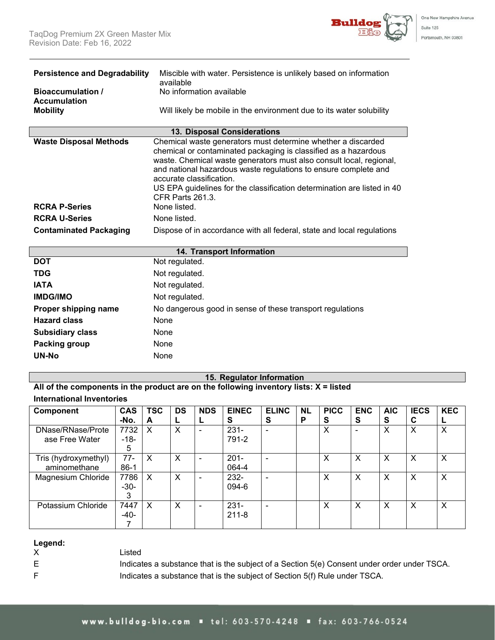

| <b>Persistence and Degradability</b><br><b>Bioaccumulation</b> /<br><b>Accumulation</b><br><b>Mobility</b> | Miscible with water. Persistence is unlikely based on information<br>available<br>No information available<br>Will likely be mobile in the environment due to its water solubility                                                                                                                                                                                                                                          |
|------------------------------------------------------------------------------------------------------------|-----------------------------------------------------------------------------------------------------------------------------------------------------------------------------------------------------------------------------------------------------------------------------------------------------------------------------------------------------------------------------------------------------------------------------|
|                                                                                                            | 13. Disposal Considerations                                                                                                                                                                                                                                                                                                                                                                                                 |
| <b>Waste Disposal Methods</b><br><b>RCRA P-Series</b>                                                      | Chemical waste generators must determine whether a discarded<br>chemical or contaminated packaging is classified as a hazardous<br>waste. Chemical waste generators must also consult local, regional,<br>and national hazardous waste regulations to ensure complete and<br>accurate classification.<br>US EPA guidelines for the classification determination are listed in 40<br><b>CFR Parts 261.3.</b><br>None listed. |
| <b>RCRA U-Series</b>                                                                                       | None listed.                                                                                                                                                                                                                                                                                                                                                                                                                |
| <b>Contaminated Packaging</b>                                                                              | Dispose of in accordance with all federal, state and local regulations                                                                                                                                                                                                                                                                                                                                                      |
|                                                                                                            | 14. Transport Information                                                                                                                                                                                                                                                                                                                                                                                                   |
| <b>DOT</b>                                                                                                 | Not regulated.                                                                                                                                                                                                                                                                                                                                                                                                              |
| <b>TDG</b>                                                                                                 | Not regulated.                                                                                                                                                                                                                                                                                                                                                                                                              |
| <b>IATA</b>                                                                                                | Not regulated.                                                                                                                                                                                                                                                                                                                                                                                                              |

| <b>IATA</b>             | Not regulated.                                            |
|-------------------------|-----------------------------------------------------------|
| <b>IMDG/IMO</b>         | Not regulated.                                            |
| Proper shipping name    | No dangerous good in sense of these transport regulations |
| <b>Hazard class</b>     | None                                                      |
| <b>Subsidiary class</b> | None                                                      |
| Packing group           | None                                                      |
| <b>UN-No</b>            | None                                                      |
|                         |                                                           |

## **15. Regulator Information**

**All of the components in the product are on the following inventory lists: X = listed International Inventories**

| <b>Component</b>     | <b>CAS</b> | <b>TSC</b> | <b>DS</b> | <b>NDS</b> | <b>EINEC</b> | <b>ELINC</b>             | <b>NL</b> | <b>PICC</b> | <b>ENC</b> | <b>AIC</b> | <b>IECS</b> | <b>KEC</b> |
|----------------------|------------|------------|-----------|------------|--------------|--------------------------|-----------|-------------|------------|------------|-------------|------------|
|                      | -No.       | A          | ┕         |            | s            | S                        | P         | S           | S          | S          | С           |            |
| DNase/RNase/Prote    | 7732       | X          | X         |            | $231 -$      | $\blacksquare$           |           | X           |            | X          | X           | X          |
| ase Free Water       | $-18-$     |            |           |            | 791-2        |                          |           |             |            |            |             |            |
|                      | 5          |            |           |            |              |                          |           |             |            |            |             |            |
| Tris (hydroxymethyl) | $77-$      | X          | X         |            | $201 -$      | $\blacksquare$           |           | Х           | X          | X          | X           | Χ          |
| aminomethane         | $86-1$     |            |           |            | 064-4        |                          |           |             |            |            |             |            |
| Magnesium Chloride   | 7786       | X          | X         |            | 232-         | $\blacksquare$           |           | X           | X          | X          | X           | X          |
|                      | $-30-$     |            |           |            | 094-6        |                          |           |             |            |            |             |            |
|                      | 3          |            |           |            |              |                          |           |             |            |            |             |            |
| Potassium Chloride   | 7447       | X          | X         |            | $231 -$      | $\overline{\phantom{a}}$ |           | X           | X          | X          | X           | X          |
|                      | $-40-$     |            |           |            | $211 - 8$    |                          |           |             |            |            |             |            |
|                      |            |            |           |            |              |                          |           |             |            |            |             |            |

**Legend:**

Listed

- 
- 

E Indicates a substance that is the subject of a Section 5(e) Consent under order under TSCA. F **Indicates a substance that is the subject of Section 5(f) Rule under TSCA.**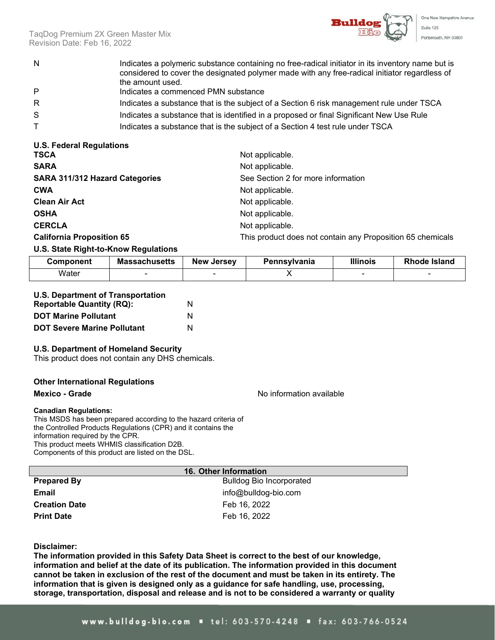

TaqDog Premium 2X Green Master Mix Revision Date: Feb 16, 2022

- N Indicates a polymeric substance containing no free-radical initiator in its inventory name but is considered to cover the designated polymer made with any free-radical initiator regardless of the amount used.
- P Indicates a commenced PMN substance
- R **Indicates a substance that is the subject of a Section 6 risk management rule under TSCA**
- S Suppressment indicates a substance that is identified in a proposed or final Significant New Use Rule
- T Indicates a substance that is the subject of a Section 4 test rule under TSCA

| <b>U.S. Federal Regulations</b>       |                                                            |
|---------------------------------------|------------------------------------------------------------|
| <b>TSCA</b>                           | Not applicable.                                            |
| <b>SARA</b>                           | Not applicable.                                            |
| <b>SARA 311/312 Hazard Categories</b> | See Section 2 for more information                         |
| <b>CWA</b>                            | Not applicable.                                            |
| <b>Clean Air Act</b>                  | Not applicable.                                            |
| <b>OSHA</b>                           | Not applicable.                                            |
| <b>CERCLA</b>                         | Not applicable.                                            |
| <b>California Proposition 65</b>      | This product does not contain any Proposition 65 chemicals |

## **U.S. State Right-to-Know Regulations**

| Component | <b>Massachusetts</b> | <b>New Jersey</b> | Pennsvlvania | <b>Illinois</b> | <b>Rhode Island</b> |
|-----------|----------------------|-------------------|--------------|-----------------|---------------------|
| Water     |                      |                   |              |                 |                     |

| <b>U.S. Department of Transportation</b> |   |
|------------------------------------------|---|
| <b>Reportable Quantity (RQ):</b>         | N |
| <b>DOT Maring Pollutant</b>              | N |

|  | <b>DOT Marine Pollutant</b>        |   |
|--|------------------------------------|---|
|  | <b>DOT Severe Marine Pollutant</b> | N |

## **U.S. Department of Homeland Security**

This product does not contain any DHS chemicals.

## **Other International Regulations**

#### **Mexico - Grade** Note and American control of the Mexico - Mexico - Mexico - The Mexico - The Mexico - The Mexico - The Mexico - The Mexico - The Mexico - The Mexico - The Mexico - The Mexico - The Mexico - The Mexico - Th

#### **Canadian Regulations:**

This MSDS has been prepared according to the hazard criteria of the Controlled Products Regulations (CPR) and it contains the information required by the CPR. This product meets WHMIS classification D2B. Components of this product are listed on the DSL.

|                      | 16. Other Information           |
|----------------------|---------------------------------|
| <b>Prepared By</b>   | <b>Bulldog Bio Incorporated</b> |
| Email                | info@bulldog-bio.com            |
| <b>Creation Date</b> | Feb 16, 2022                    |
| <b>Print Date</b>    | Feb 16, 2022                    |

## **Disclaimer:**

**The information provided in this Safety Data Sheet is correct to the best of our knowledge, information and belief at the date of its publication. The information provided in this document cannot be taken in exclusion of the rest of the document and must be taken in its entirety. The information that is given is designed only as a guidance for safe handling, use, processing, storage, transportation, disposal and release and is not to be considered a warranty or quality**